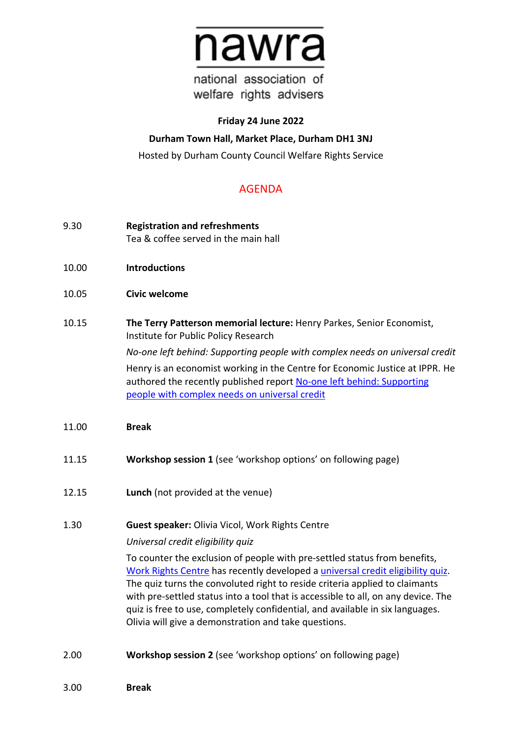

national association of welfare rights advisers

#### **Friday 24 June 2022**

# **Durham Town Hall, Market Place, Durham DH1 3NJ**

Hosted by Durham County Council Welfare Rights Service

# AGENDA

- 9.30 **Registration and refreshments** Tea & coffee served in the main hall
- 10.00 **Introductions**
- 10.05 **Civic welcome**
- 10.15 **The Terry Patterson memorial lecture:** Henry Parkes, Senior Economist, Institute for Public Policy Research

*No-one left behind: Supporting people with complex needs on universal credit* Henry is an economist working in the Centre for Economic Justice at IPPR. He authored the recently published report [No-one left behind: Supporting](https://www.ippr.org/files/2022-04/no-one-left-behind-march22.pdf)  [people with complex needs on universal credit](https://www.ippr.org/files/2022-04/no-one-left-behind-march22.pdf)

- 11.00 **Break**
- 11.15 **Workshop session 1** (see 'workshop options' on following page)
- 12.15 **Lunch** (not provided at the venue)
- 1.30 **Guest speaker:** Olivia Vicol, Work Rights Centre

## *Universal credit eligibility quiz*

To counter the exclusion of people with pre-settled status from benefits, [Work Rights Centre](https://www.workrightscentre.org/) has recently developed a [universal credit eligibility quiz.](https://www.workrightscentre.org/universal-credit) The quiz turns the convoluted right to reside criteria applied to claimants with pre-settled status into a tool that is accessible to all, on any device. The quiz is free to use, completely confidential, and available in six languages. Olivia will give a demonstration and take questions.

- 2.00 **Workshop session 2** (see 'workshop options' on following page)
- 3.00 **Break**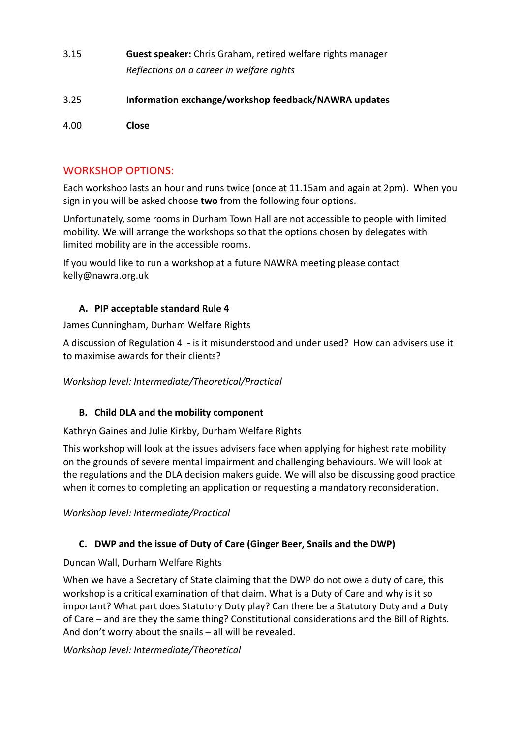- 3.15 **Guest speaker:** Chris Graham, retired welfare rights manager *Reflections on a career in welfare rights*
- 3.25 **Information exchange/workshop feedback/NAWRA updates**

4.00 **Close**

## WORKSHOP OPTIONS:

Each workshop lasts an hour and runs twice (once at 11.15am and again at 2pm). When you sign in you will be asked choose **two** from the following four options.

Unfortunately, some rooms in Durham Town Hall are not accessible to people with limited mobility. We will arrange the workshops so that the options chosen by delegates with limited mobility are in the accessible rooms.

If you would like to run a workshop at a future NAWRA meeting please contact kelly@nawra.org.uk

## **A. PIP acceptable standard Rule 4**

James Cunningham, Durham Welfare Rights

A discussion of Regulation 4 - is it misunderstood and under used? How can advisers use it to maximise awards for their clients?

*Workshop level: Intermediate/Theoretical/Practical*

## **B. Child DLA and the mobility component**

Kathryn Gaines and Julie Kirkby, Durham Welfare Rights

This workshop will look at the issues advisers face when applying for highest rate mobility on the grounds of severe mental impairment and challenging behaviours. We will look at the regulations and the DLA decision makers guide. We will also be discussing good practice when it comes to completing an application or requesting a mandatory reconsideration.

*Workshop level: Intermediate/Practical*

## **C. DWP and the issue of Duty of Care (Ginger Beer, Snails and the DWP)**

Duncan Wall, Durham Welfare Rights

When we have a Secretary of State claiming that the DWP do not owe a duty of care, this workshop is a critical examination of that claim. What is a Duty of Care and why is it so important? What part does Statutory Duty play? Can there be a Statutory Duty and a Duty of Care – and are they the same thing? Constitutional considerations and the Bill of Rights. And don't worry about the snails – all will be revealed.

#### *Workshop level: Intermediate/Theoretical*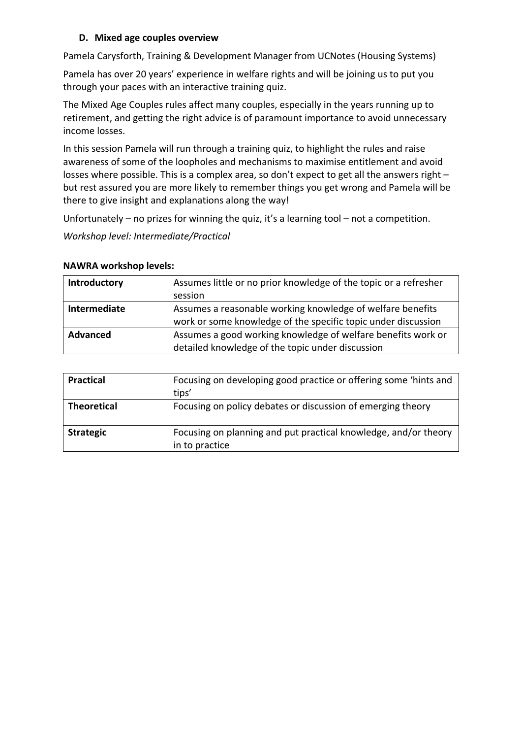#### **D. Mixed age couples overview**

Pamela Carysforth, Training & Development Manager from UCNotes (Housing Systems)

Pamela has over 20 years' experience in welfare rights and will be joining us to put you through your paces with an interactive training quiz.

The Mixed Age Couples rules affect many couples, especially in the years running up to retirement, and getting the right advice is of paramount importance to avoid unnecessary income losses.

In this session Pamela will run through a training quiz, to highlight the rules and raise awareness of some of the loopholes and mechanisms to maximise entitlement and avoid losses where possible. This is a complex area, so don't expect to get all the answers right – but rest assured you are more likely to remember things you get wrong and Pamela will be there to give insight and explanations along the way!

Unfortunately – no prizes for winning the quiz, it's a learning tool – not a competition.

*Workshop level: Intermediate/Practical*

#### **NAWRA workshop levels:**

| Introductory    | Assumes little or no prior knowledge of the topic or a refresher |
|-----------------|------------------------------------------------------------------|
|                 | session                                                          |
| Intermediate    | Assumes a reasonable working knowledge of welfare benefits       |
|                 | work or some knowledge of the specific topic under discussion    |
| <b>Advanced</b> | Assumes a good working knowledge of welfare benefits work or     |
|                 | detailed knowledge of the topic under discussion                 |

| <b>Practical</b>   | Focusing on developing good practice or offering some 'hints and<br>tips'         |
|--------------------|-----------------------------------------------------------------------------------|
| <b>Theoretical</b> | Focusing on policy debates or discussion of emerging theory                       |
| <b>Strategic</b>   | Focusing on planning and put practical knowledge, and/or theory<br>in to practice |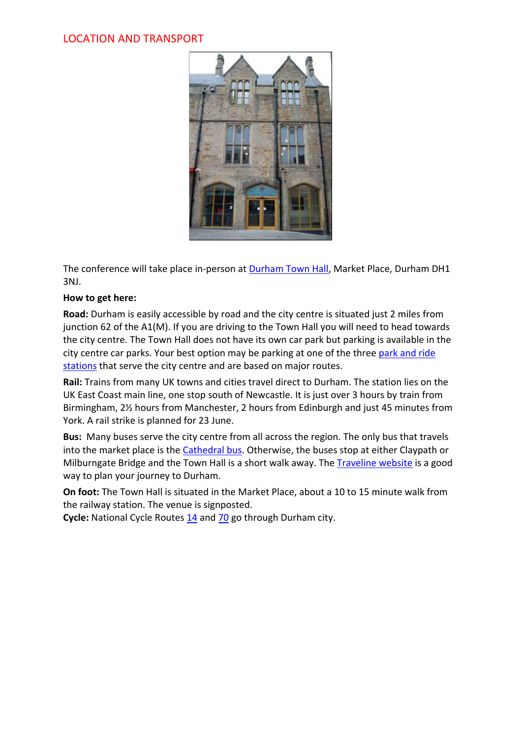# LOCATION AND TRANSPORT



The conference will take place in-person at [Durham Town Hall,](https://www.durham.gov.uk/durhamtownhall) Market Place, Durham DH1 3NJ.

## **How to get here:**

**Road:** Durham is easily accessible by road and the city centre is situated just 2 miles from junction 62 of the A1(M). If you are driving to the Town Hall you will need to head towards the city centre. The Town Hall does not have its own car park but parking is available in the city centre car parks. Your best option may be parking at one of the three [park and ride](https://www.durham.gov.uk/parkandride)  [stations](https://www.durham.gov.uk/parkandride) that serve the city centre and are based on major routes.

**Rail:** Trains from many UK towns and cities travel direct to Durham. The station lies on the UK East Coast main line, one stop south of Newcastle. It is just over 3 hours by train from Birmingham, 2½ hours from Manchester, 2 hours from Edinburgh and just 45 minutes from York. A rail strike is planned for 23 June.

**Bus:** Many buses serve the city centre from all across the region. The only bus that travels into the market place is the [Cathedral bus.](https://www.durham.gov.uk/cathedralbus) Otherwise, the buses stop at either Claypath or Milburngate Bridge and the Town Hall is a short walk away. The *Traveline website is a good* way to plan your journey to Durham.

**On foot:** The Town Hall is situated in the Market Place, about a 10 to 15 minute walk from the railway station. The venue is signposted.

**Cycle:** National Cycle Routes [14](https://www.sustrans.org.uk/ncn/map/route/route-14) and [70](https://www.sustrans.org.uk/ncn/map/route/route-70) go through Durham city.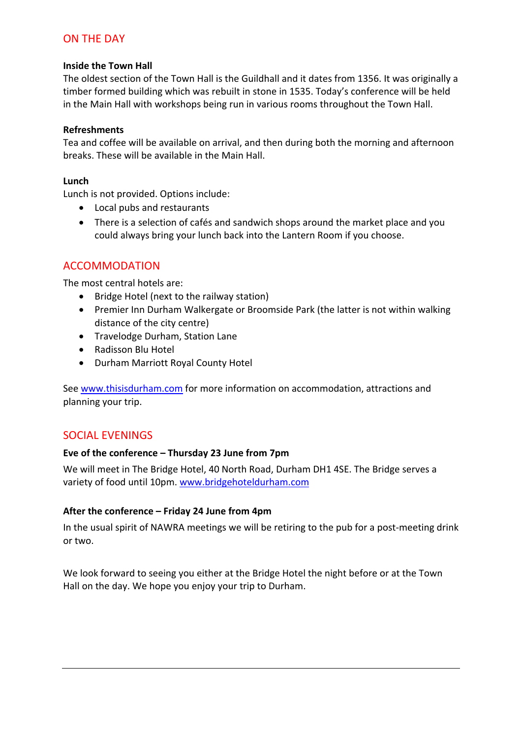# ON THE DAY

#### **Inside the Town Hall**

The oldest section of the Town Hall is the Guildhall and it dates from 1356. It was originally a timber formed building which was rebuilt in stone in 1535. Today's conference will be held in the Main Hall with workshops being run in various rooms throughout the Town Hall.

#### **Refreshments**

Tea and coffee will be available on arrival, and then during both the morning and afternoon breaks. These will be available in the Main Hall.

#### **Lunch**

Lunch is not provided. Options include:

- Local pubs and restaurants
- There is a selection of cafés and sandwich shops around the market place and you could always bring your lunch back into the Lantern Room if you choose.

# ACCOMMODATION

The most central hotels are:

- Bridge Hotel (next to the railway station)
- Premier Inn Durham Walkergate or Broomside Park (the latter is not within walking distance of the city centre)
- Travelodge Durham, Station Lane
- Radisson Blu Hotel
- Durham Marriott Royal County Hotel

See [www.thisisdurham.com](http://www.thisisdurham.com/) for more information on accommodation, attractions and planning your trip.

# SOCIAL EVENINGS

## **Eve of the conference – Thursday 23 June from 7pm**

We will meet in The Bridge Hotel, 40 North Road, Durham DH1 4SE. The Bridge serves a variety of food until 10pm. [www.bridgehoteldurham.com](http://www.bridgehoteldurham.com/)

## **After the conference – Friday 24 June from 4pm**

In the usual spirit of NAWRA meetings we will be retiring to the pub for a post-meeting drink or two.

We look forward to seeing you either at the Bridge Hotel the night before or at the Town Hall on the day. We hope you enjoy your trip to Durham.